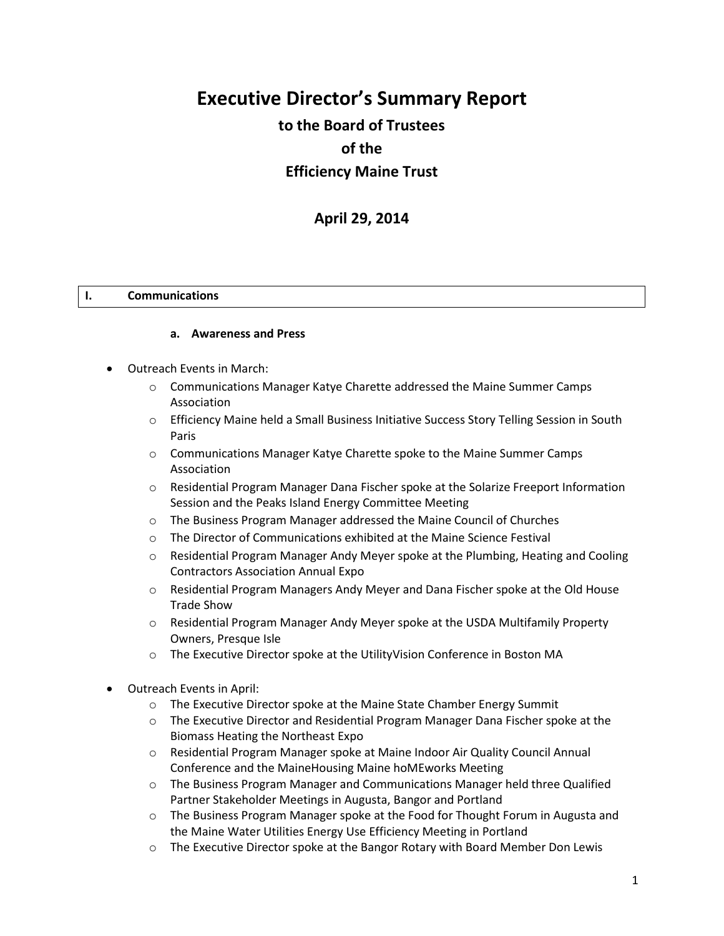# **Executive Director's Summary Report**

# **to the Board of Trustees of the Efficiency Maine Trust**

# **April 29, 2014**

#### **I. Communications**

#### **a. Awareness and Press**

- Outreach Events in March:
	- o Communications Manager Katye Charette addressed the Maine Summer Camps Association
	- o Efficiency Maine held a Small Business Initiative Success Story Telling Session in South Paris
	- o Communications Manager Katye Charette spoke to the Maine Summer Camps Association
	- o Residential Program Manager Dana Fischer spoke at the Solarize Freeport Information Session and the Peaks Island Energy Committee Meeting
	- o The Business Program Manager addressed the Maine Council of Churches
	- o The Director of Communications exhibited at the Maine Science Festival
	- o Residential Program Manager Andy Meyer spoke at the Plumbing, Heating and Cooling Contractors Association Annual Expo
	- o Residential Program Managers Andy Meyer and Dana Fischer spoke at the Old House Trade Show
	- o Residential Program Manager Andy Meyer spoke at the USDA Multifamily Property Owners, Presque Isle
	- o The Executive Director spoke at the UtilityVision Conference in Boston MA
- Outreach Events in April:
	- o The Executive Director spoke at the Maine State Chamber Energy Summit
	- o The Executive Director and Residential Program Manager Dana Fischer spoke at the Biomass Heating the Northeast Expo
	- o Residential Program Manager spoke at Maine Indoor Air Quality Council Annual Conference and the MaineHousing Maine hoMEworks Meeting
	- o The Business Program Manager and Communications Manager held three Qualified Partner Stakeholder Meetings in Augusta, Bangor and Portland
	- o The Business Program Manager spoke at the Food for Thought Forum in Augusta and the Maine Water Utilities Energy Use Efficiency Meeting in Portland
	- o The Executive Director spoke at the Bangor Rotary with Board Member Don Lewis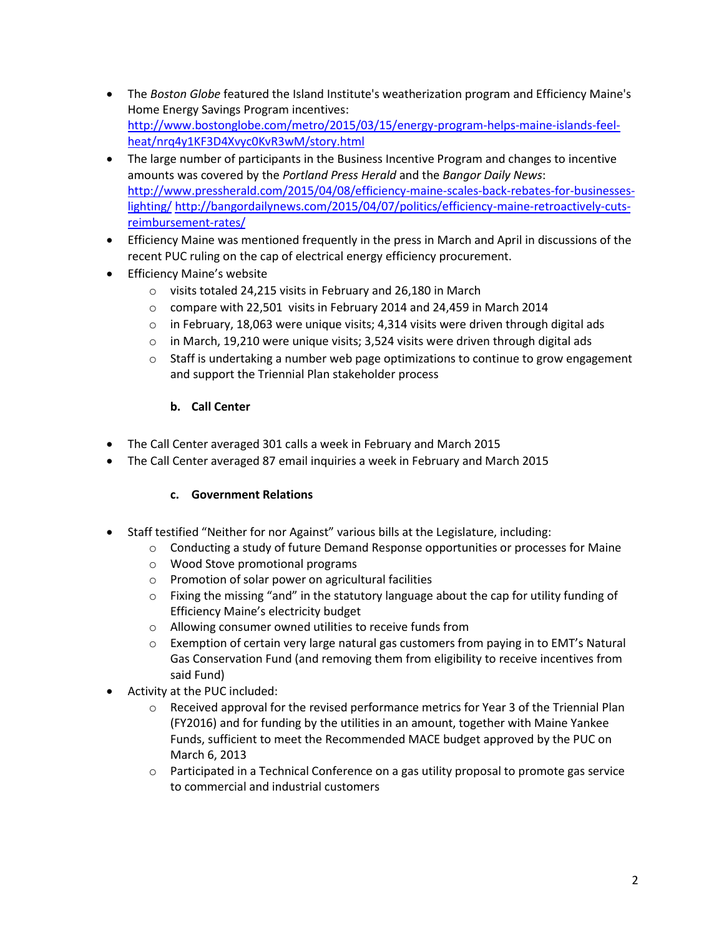- The *Boston Globe* featured the Island Institute's weatherization program and Efficiency Maine's Home Energy Savings Program incentives: [http://www.bostonglobe.com/metro/2015/03/15/energy-program-helps-maine-islands-feel](http://www.bostonglobe.com/metro/2015/03/15/energy-program-helps-maine-islands-feel-heat/nrq4y1KF3D4Xvyc0KvR3wM/story.html)[heat/nrq4y1KF3D4Xvyc0KvR3wM/story.html](http://www.bostonglobe.com/metro/2015/03/15/energy-program-helps-maine-islands-feel-heat/nrq4y1KF3D4Xvyc0KvR3wM/story.html)
- The large number of participants in the Business Incentive Program and changes to incentive amounts was covered by the *Portland Press Herald* and the *Bangor Daily News*: [http://www.pressherald.com/2015/04/08/efficiency-maine-scales-back-rebates-for-businesses](http://www.pressherald.com/2015/04/08/efficiency-maine-scales-back-rebates-for-businesses-lighting/)[lighting/](http://www.pressherald.com/2015/04/08/efficiency-maine-scales-back-rebates-for-businesses-lighting/) [http://bangordailynews.com/2015/04/07/politics/efficiency-maine-retroactively-cuts](http://bangordailynews.com/2015/04/07/politics/efficiency-maine-retroactively-cuts-reimbursement-rates/)[reimbursement-rates/](http://bangordailynews.com/2015/04/07/politics/efficiency-maine-retroactively-cuts-reimbursement-rates/)
- Efficiency Maine was mentioned frequently in the press in March and April in discussions of the recent PUC ruling on the cap of electrical energy efficiency procurement.
- **•** Efficiency Maine's website
	- o visits totaled 24,215 visits in February and 26,180 in March
	- o compare with 22,501 visits in February 2014 and 24,459 in March 2014
	- $\circ$  in February, 18,063 were unique visits; 4,314 visits were driven through digital ads
	- o in March, 19,210 were unique visits; 3,524 visits were driven through digital ads
	- $\circ$  Staff is undertaking a number web page optimizations to continue to grow engagement and support the Triennial Plan stakeholder process

### **b. Call Center**

- The Call Center averaged 301 calls a week in February and March 2015
- The Call Center averaged 87 email inquiries a week in February and March 2015

### **c. Government Relations**

- Staff testified "Neither for nor Against" various bills at the Legislature, including:
	- $\circ$  Conducting a study of future Demand Response opportunities or processes for Maine
	- o Wood Stove promotional programs
	- o Promotion of solar power on agricultural facilities
	- $\circ$  Fixing the missing "and" in the statutory language about the cap for utility funding of Efficiency Maine's electricity budget
	- o Allowing consumer owned utilities to receive funds from
	- $\circ$  Exemption of certain very large natural gas customers from paying in to EMT's Natural Gas Conservation Fund (and removing them from eligibility to receive incentives from said Fund)
- Activity at the PUC included:
	- $\circ$  Received approval for the revised performance metrics for Year 3 of the Triennial Plan (FY2016) and for funding by the utilities in an amount, together with Maine Yankee Funds, sufficient to meet the Recommended MACE budget approved by the PUC on March 6, 2013
	- o Participated in a Technical Conference on a gas utility proposal to promote gas service to commercial and industrial customers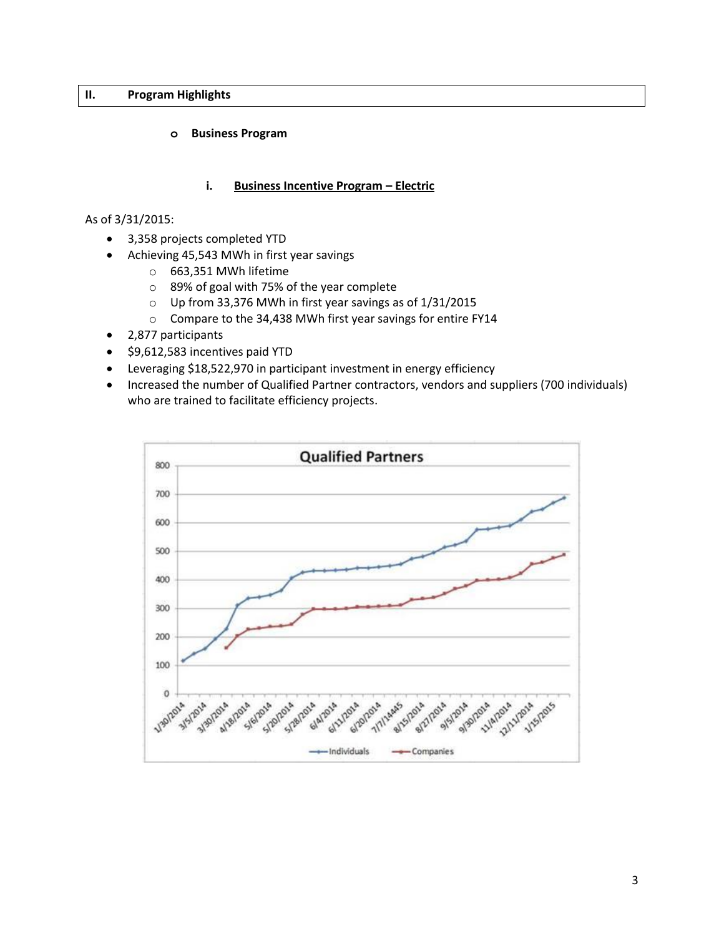#### **II. Program Highlights**

#### **o Business Program**

#### **i. Business Incentive Program – Electric**

As of 3/31/2015:

- 3,358 projects completed YTD
- Achieving 45,543 MWh in first year savings
	- o 663,351 MWh lifetime
	- o 89% of goal with 75% of the year complete
	- o Up from 33,376 MWh in first year savings as of 1/31/2015
	- o Compare to the 34,438 MWh first year savings for entire FY14
- 2,877 participants
- \$9,612,583 incentives paid YTD
- Leveraging \$18,522,970 in participant investment in energy efficiency
- Increased the number of Qualified Partner contractors, vendors and suppliers (700 individuals) who are trained to facilitate efficiency projects.

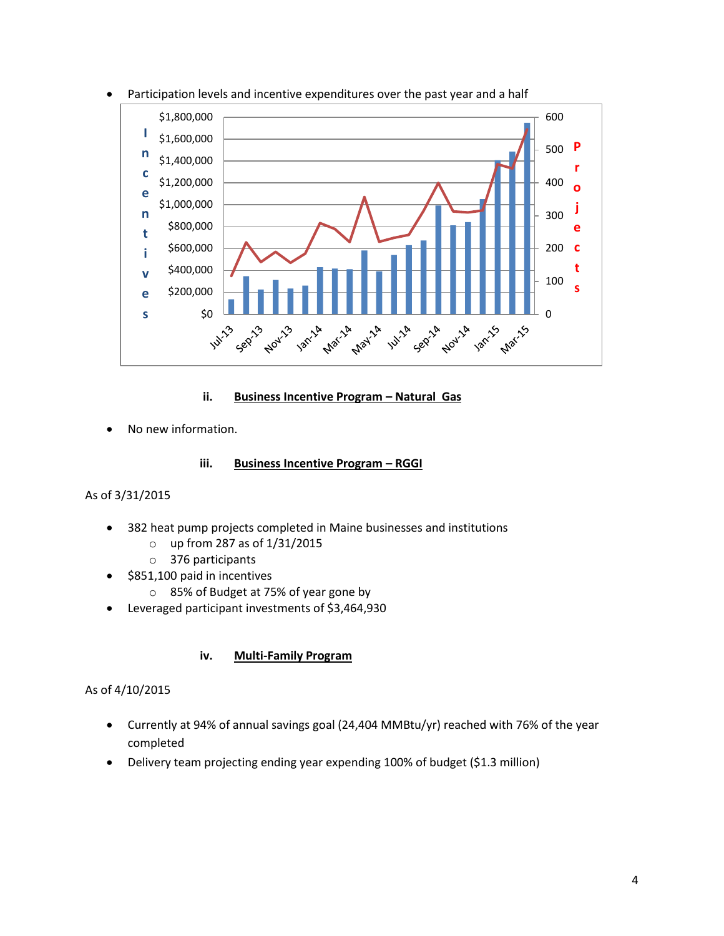

Participation levels and incentive expenditures over the past year and a half

### **ii. Business Incentive Program - Natural Gas**

No new information.

#### **iii. Business Incentive Program – RGGI**

### As of 3/31/2015

- 382 heat pump projects completed in Maine businesses and institutions
	- o up from 287 as of 1/31/2015
	- o 376 participants
- \$851,100 paid in incentives
	- o 85% of Budget at 75% of year gone by
- Leveraged participant investments of \$3,464,930

### **iv. Multi-Family Program**

## As of 4/10/2015

- Currently at 94% of annual savings goal (24,404 MMBtu/yr) reached with 76% of the year completed
- Delivery team projecting ending year expending 100% of budget (\$1.3 million)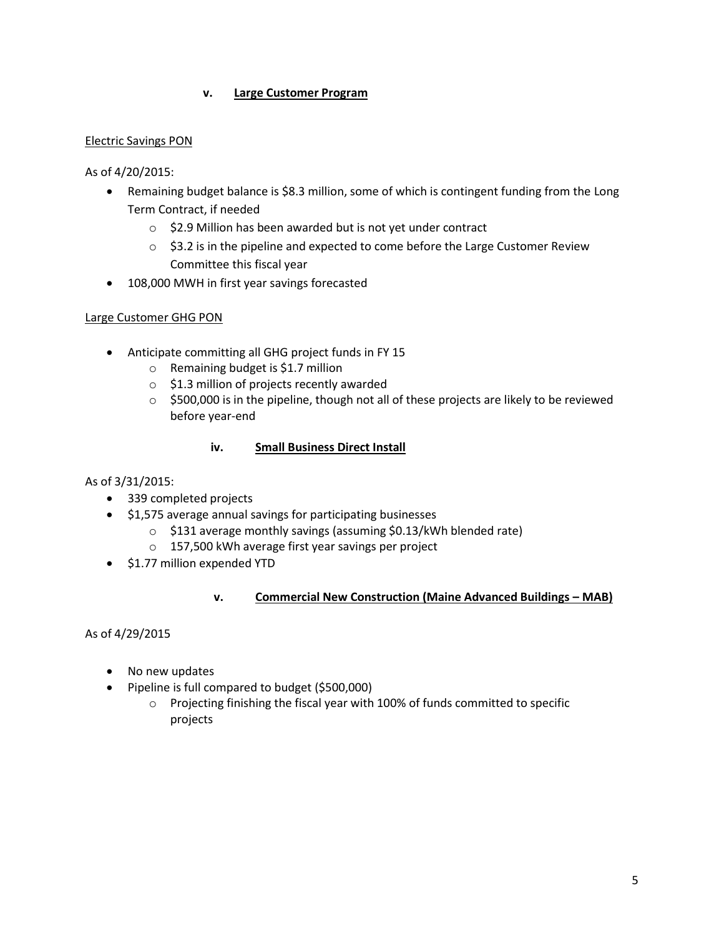### **v. Large Customer Program**

#### Electric Savings PON

As of 4/20/2015:

- Remaining budget balance is \$8.3 million, some of which is contingent funding from the Long Term Contract, if needed
	- o \$2.9 Million has been awarded but is not yet under contract
	- o \$3.2 is in the pipeline and expected to come before the Large Customer Review Committee this fiscal year
- 108,000 MWH in first year savings forecasted

### Large Customer GHG PON

- Anticipate committing all GHG project funds in FY 15
	- o Remaining budget is \$1.7 million
	- o \$1.3 million of projects recently awarded
	- $\circ$  \$500,000 is in the pipeline, though not all of these projects are likely to be reviewed before year-end

### **iv. Small Business Direct Install**

### As of 3/31/2015:

- 339 completed projects
- \$1,575 average annual savings for participating businesses
	- o \$131 average monthly savings (assuming \$0.13/kWh blended rate)
	- o 157,500 kWh average first year savings per project
- $\bullet$  \$1.77 million expended YTD

### **v. Commercial New Construction (Maine Advanced Buildings – MAB)**

As of 4/29/2015

- No new updates
- Pipeline is full compared to budget (\$500,000)
	- o Projecting finishing the fiscal year with 100% of funds committed to specific projects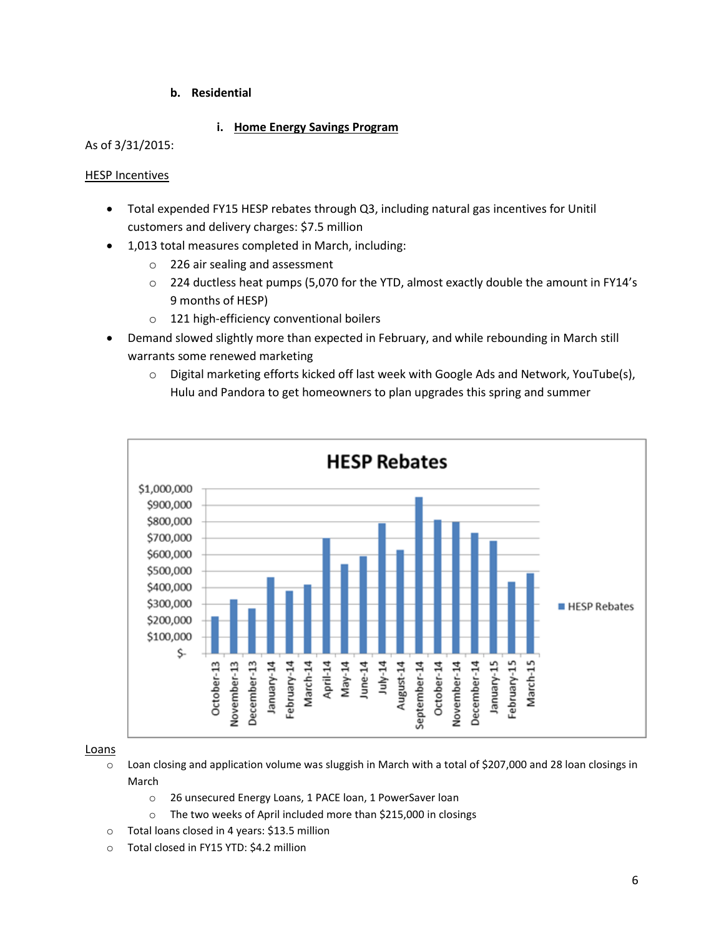#### **b. Residential**

#### **i. Home Energy Savings Program**

#### As of 3/31/2015:

#### HESP Incentives

- Total expended FY15 HESP rebates through Q3, including natural gas incentives for Unitil customers and delivery charges: \$7.5 million
- 1,013 total measures completed in March, including:
	- o 226 air sealing and assessment
	- $\circ$  224 ductless heat pumps (5,070 for the YTD, almost exactly double the amount in FY14's 9 months of HESP)
	- o 121 high-efficiency conventional boilers
- Demand slowed slightly more than expected in February, and while rebounding in March still warrants some renewed marketing
	- o Digital marketing efforts kicked off last week with Google Ads and Network, YouTube(s), Hulu and Pandora to get homeowners to plan upgrades this spring and summer



#### Loans

- o Loan closing and application volume was sluggish in March with a total of \$207,000 and 28 loan closings in March
	- o 26 unsecured Energy Loans, 1 PACE loan, 1 PowerSaver loan
	- o The two weeks of April included more than \$215,000 in closings
- o Total loans closed in 4 years: \$13.5 million
- o Total closed in FY15 YTD: \$4.2 million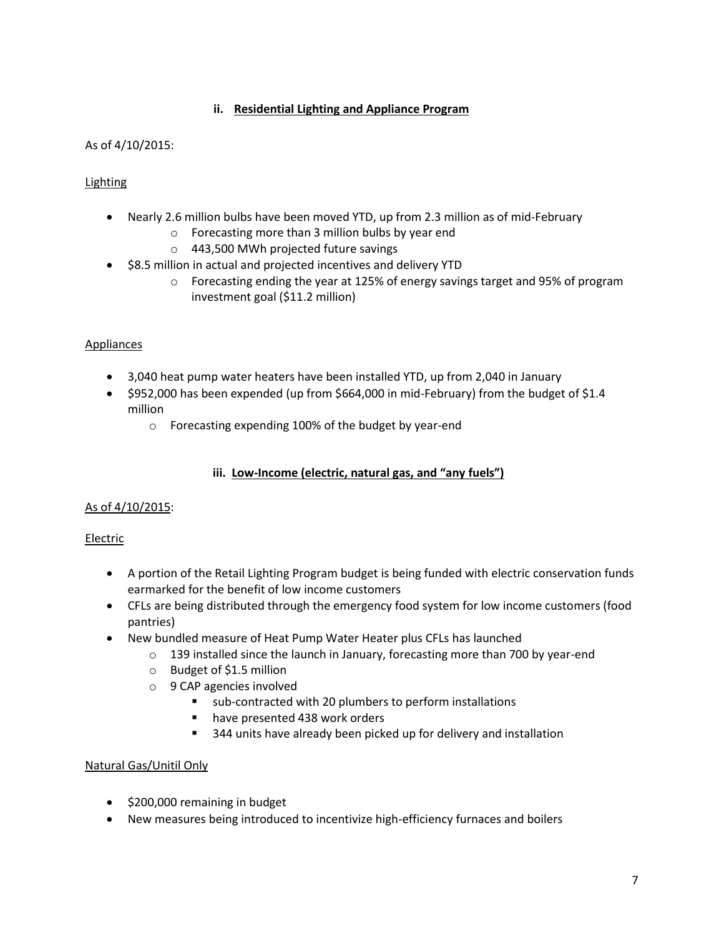## **ii. Residential Lighting and Appliance Program**

## As of 4/10/2015:

# **Lighting**

- Nearly 2.6 million bulbs have been moved YTD, up from 2.3 million as of mid-February
	- o Forecasting more than 3 million bulbs by year end
	- o 443,500 MWh projected future savings
- \$8.5 million in actual and projected incentives and delivery YTD
	- o Forecasting ending the year at 125% of energy savings target and 95% of program investment goal (\$11.2 million)

## Appliances

- 3,040 heat pump water heaters have been installed YTD, up from 2,040 in January
- $\bullet$  \$952,000 has been expended (up from \$664,000 in mid-February) from the budget of \$1.4 million
	- o Forecasting expending 100% of the budget by year-end

## **iii. Low-Income (electric, natural gas, and "any fuels")**

# As of 4/10/2015:

# Electric

- A portion of the Retail Lighting Program budget is being funded with electric conservation funds earmarked for the benefit of low income customers
- CFLs are being distributed through the emergency food system for low income customers (food pantries)
- New bundled measure of Heat Pump Water Heater plus CFLs has launched
	- o 139 installed since the launch in January, forecasting more than 700 by year-end
	- o Budget of \$1.5 million
	- o 9 CAP agencies involved
		- sub-contracted with 20 plumbers to perform installations
			- **n** have presented 438 work orders
			- 344 units have already been picked up for delivery and installation

### Natural Gas/Unitil Only

- \$200,000 remaining in budget
- New measures being introduced to incentivize high-efficiency furnaces and boilers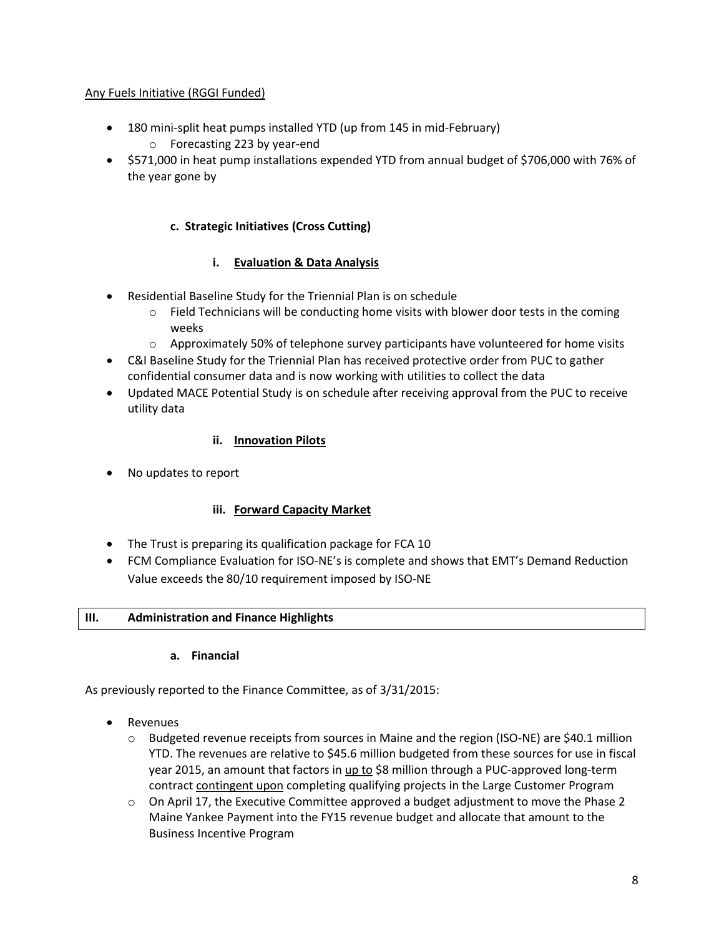## Any Fuels Initiative (RGGI Funded)

- 180 mini-split heat pumps installed YTD (up from 145 in mid-February)
	- o Forecasting 223 by year-end
- \$571,000 in heat pump installations expended YTD from annual budget of \$706,000 with 76% of the year gone by

## **c. Strategic Initiatives (Cross Cutting)**

## **i. Evaluation & Data Analysis**

- Residential Baseline Study for the Triennial Plan is on schedule
	- $\circ$  Field Technicians will be conducting home visits with blower door tests in the coming weeks
	- $\circ$  Approximately 50% of telephone survey participants have volunteered for home visits
- C&I Baseline Study for the Triennial Plan has received protective order from PUC to gather confidential consumer data and is now working with utilities to collect the data
- Updated MACE Potential Study is on schedule after receiving approval from the PUC to receive utility data

### **ii. Innovation Pilots**

• No updates to report

### **iii. Forward Capacity Market**

- The Trust is preparing its qualification package for FCA 10
- FCM Compliance Evaluation for ISO-NE's is complete and shows that EMT's Demand Reduction Value exceeds the 80/10 requirement imposed by ISO-NE

### **III. Administration and Finance Highlights**

### **a. Financial**

As previously reported to the Finance Committee, as of 3/31/2015:

- Revenues
	- $\circ$  Budgeted revenue receipts from sources in Maine and the region (ISO-NE) are \$40.1 million YTD. The revenues are relative to \$45.6 million budgeted from these sources for use in fiscal year 2015, an amount that factors in up to \$8 million through a PUC-approved long-term contract contingent upon completing qualifying projects in the Large Customer Program
	- $\circ$  On April 17, the Executive Committee approved a budget adjustment to move the Phase 2 Maine Yankee Payment into the FY15 revenue budget and allocate that amount to the Business Incentive Program